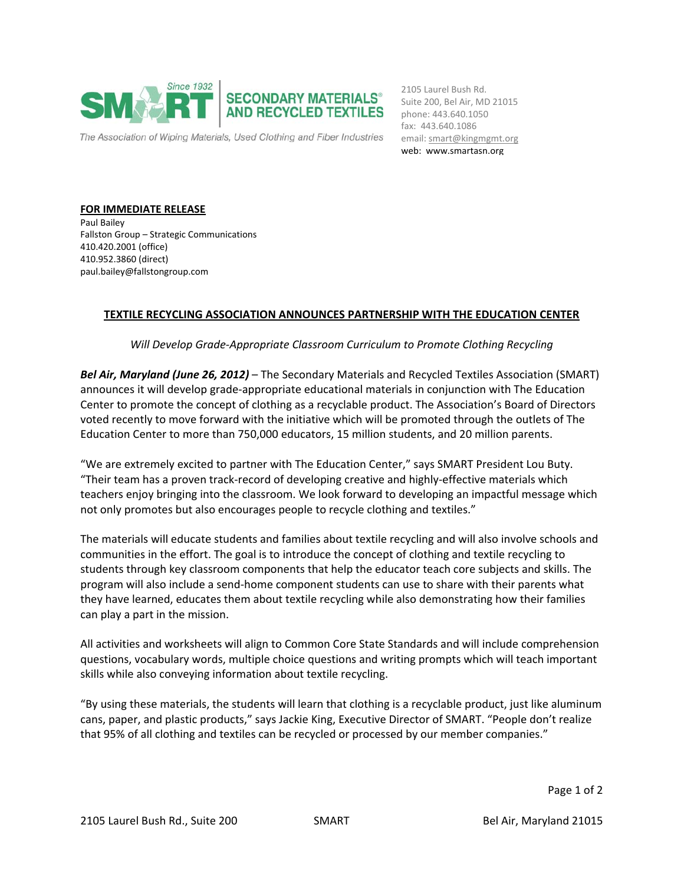

email: smart@kingmgmt.org 2105 Laurel Bush Rd. Suite 200, Bel Air, MD 21015 phone: 443.640.1050 fax: 443.640.1086 web: www.smartasn.org

**FOR IMMEDIATE RELEASE** Paul Bailey Fallston Group – Strategic Communications 410.420.2001 (office) 410.952.3860 (direct) paul.bailey@fallstongroup.com

## **TEXTILE RECYCLING ASSOCIATION ANNOUNCES PARTNERSHIP WITH THE EDUCATION CENTER**

*Will Develop Grade‐Appropriate Classroom Curriculum to Promote Clothing Recycling* 

*Bel Air, Maryland (June 26, 2012)* – The Secondary Materials and Recycled Textiles Association (SMART) announces it will develop grade‐appropriate educational materials in conjunction with The Education Center to promote the concept of clothing as a recyclable product. The Association's Board of Directors voted recently to move forward with the initiative which will be promoted through the outlets of The Education Center to more than 750,000 educators, 15 million students, and 20 million parents.

"We are extremely excited to partner with The Education Center," says SMART President Lou Buty. "Their team has a proven track‐record of developing creative and highly‐effective materials which teachers enjoy bringing into the classroom. We look forward to developing an impactful message which not only promotes but also encourages people to recycle clothing and textiles."

The materials will educate students and families about textile recycling and will also involve schools and communities in the effort. The goal is to introduce the concept of clothing and textile recycling to students through key classroom components that help the educator teach core subjects and skills. The program will also include a send‐home component students can use to share with their parents what they have learned, educates them about textile recycling while also demonstrating how their families can play a part in the mission.

All activities and worksheets will align to Common Core State Standards and will include comprehension questions, vocabulary words, multiple choice questions and writing prompts which will teach important skills while also conveying information about textile recycling.

"By using these materials, the students will learn that clothing is a recyclable product, just like aluminum cans, paper, and plastic products," says Jackie King, Executive Director of SMART. "People don't realize that 95% of all clothing and textiles can be recycled or processed by our member companies."